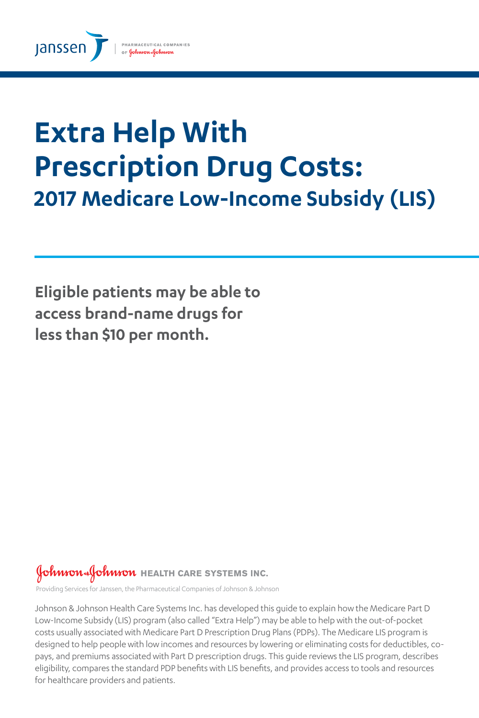

# **Extra Help With Prescription Drug Costs: 2017 Medicare Low-Income Subsidy (LIS)**

**Eligible patients may be able to access brand-name drugs for less than \$10 per month.** 

## Johnson Johnson HEALTH CARE SYSTEMS INC.

Providing Services for Janssen, the Pharmaceutical Companies of Johnson & Johnson

Johnson & Johnson Health Care Systems Inc. has developed this guide to explain how the Medicare Part D Low-Income Subsidy (LIS) program (also called "Extra Help") may be able to help with the out-of-pocket costs usually associated with Medicare Part D Prescription Drug Plans (PDPs). The Medicare LIS program is designed to help people with low incomes and resources by lowering or eliminating costs for deductibles, copays, and premiums associated with Part D prescription drugs. This guide reviews the LIS program, describes eligibility, compares the standard PDP benefits with LIS benefits, and provides access to tools and resources for healthcare providers and patients.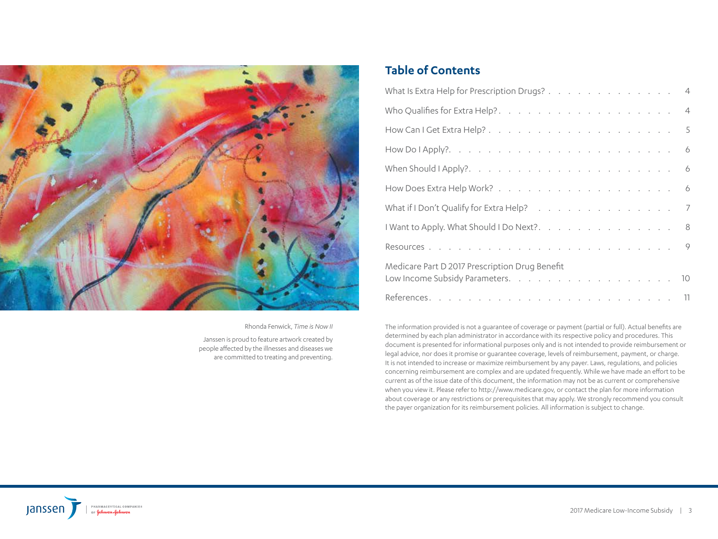

Rhonda Fenwick, *Time is Now II*

Janssen is proud to feature artwork created by people affected by the illnesses and diseases we are committed to treating and preventing.

### **Table of Contents**

| What Is Extra Help for Prescription Drugs? 4   |   |  |  |  |  |  |  |
|------------------------------------------------|---|--|--|--|--|--|--|
|                                                |   |  |  |  |  |  |  |
|                                                |   |  |  |  |  |  |  |
|                                                |   |  |  |  |  |  |  |
|                                                |   |  |  |  |  |  |  |
|                                                |   |  |  |  |  |  |  |
| What if I Don't Qualify for Extra Help?        | 7 |  |  |  |  |  |  |
| I Want to Apply. What Should I Do Next?. 8     |   |  |  |  |  |  |  |
|                                                |   |  |  |  |  |  |  |
| Medicare Part D 2017 Prescription Drug Benefit |   |  |  |  |  |  |  |
|                                                |   |  |  |  |  |  |  |
|                                                |   |  |  |  |  |  |  |

The information provided is not a guarantee of coverage or payment (partial or full). Actual benefits are determined by each plan administrator in accordance with its respective policy and procedures. This document is presented for informational purposes only and is not intended to provide reimbursement or legal advice, nor does it promise or guarantee coverage, levels of reimbursement, payment, or charge. It is not intended to increase or maximize reimbursement by any payer. Laws, regulations, and policies concerning reimbursement are complex and are updated frequently. While we have made an effort to be current as of the issue date of this document, the information may not be as current or comprehensive when you view it. Please refer to http://www.medicare.gov, or contact the plan for more information about coverage or any restrictions or prerequisites that may apply. We strongly recommend you consult the payer organization for its reimbursement policies. All information is subject to change.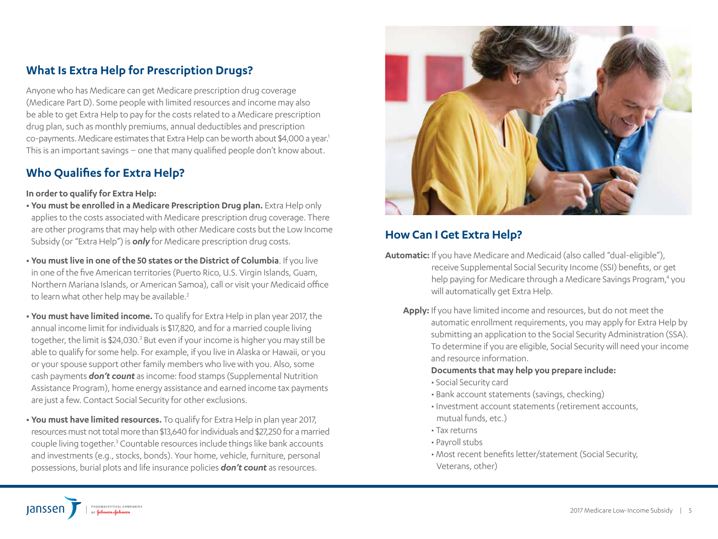### **What Is Extra Help for Prescription Drugs?**

Anyone who has Medicare can get Medicare prescription drug coverage (Medicare Part D). Some people with limited resources and income may also be able to get Extra Help to pay for the costs related to a Medicare prescription drug plan, such as monthly premiums, annual deductibles and prescription co-payments. Medicare estimates that Extra Help can be worth about \$4,000 a year.<sup>1</sup> This is an important savings – one that many qualified people don't know about.

### **Who Qualifies for Extra Help?**

#### **In order to qualify for Extra Help:**

- **You must be enrolled in a Medicare Prescription Drug plan.** Extra Help only applies to the costs associated with Medicare prescription drug coverage. There are other programs that may help with other Medicare costs but the Low Income Subsidy (or "Extra Help") is *only* for Medicare prescription drug costs.
- **You must live in one of the 50 states or the District of Columbia**. If you live in one of the five American territories (Puerto Rico, U.S. Virgin Islands, Guam, Northern Mariana Islands, or American Samoa), call or visit your Medicaid office to learn what other help may be available.<sup>2</sup>
- **You must have limited income.** To qualify for Extra Help in plan year 2017, the annual income limit for individuals is \$17,820, and for a married couple living together, the limit is \$24,030.<sup>3</sup> But even if your income is higher you may still be able to qualify for some help. For example, if you live in Alaska or Hawaii, or you or your spouse support other family members who live with you. Also, some cash payments *don't count* as income: food stamps (Supplemental Nutrition Assistance Program), home energy assistance and earned income tax payments are just a few. Contact Social Security for other exclusions.
- **You must have limited resources.** To qualify for Extra Help in plan year 2017, resources must not total more than \$13,640 for individuals and \$27,250 for a married couple living together.<sup>3</sup> Countable resources include things like bank accounts and investments (e.g., stocks, bonds). Your home, vehicle, furniture, personal possessions, burial plots and life insurance policies *don't count* as resources.



### **How Can I Get Extra Help?**

- **Automatic:** If you have Medicare and Medicaid (also called "dual-eligible"), receive Supplemental Social Security Income (SSI) benefits, or get help paying for Medicare through a Medicare Savings Program,<sup>4</sup> you will automatically get Extra Help.
	- **Apply:** If you have limited income and resources, but do not meet the automatic enrollment requirements, you may apply for Extra Help by submitting an application to the Social Security Administration (SSA). To determine if you are eligible, Social Security will need your income and resource information.

#### **Documents that may help you prepare include:**

- Social Security card
- Bank account statements (savings, checking)
- Investment account statements (retirement accounts, mutual funds, etc.)
- Tax returns
- Payroll stubs
- Most recent benefits letter/statement (Social Security, Veterans, other)

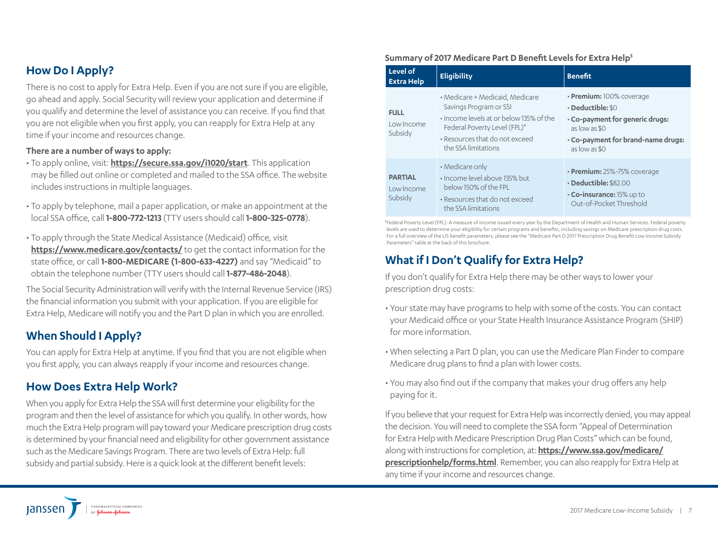### **How Do I Apply?**

There is no cost to apply for Extra Help. Even if you are not sure if you are eligible, go ahead and apply. Social Security will review your application and determine if you qualify and determine the level of assistance you can receive. If you find that you are not eligible when you first apply, you can reapply for Extra Help at any time if your income and resources change.

#### **There are a number of ways to apply:**

- To apply online, visit: **https://secure.ssa.gov/i1020/start**. This application may be filled out online or completed and mailed to the SSA office. The website includes instructions in multiple languages.
- To apply by telephone, mail a paper application, or make an appointment at the local SSA office, call **1-800-772-1213** (TTY users should call **1-800-325-0778**).
- To apply through the State Medical Assistance (Medicaid) office, visit **https://www.medicare.gov/contacts/** to get the contact information for the state office, or call **1-800-MEDICARE (1-800-633-4227)** and say "Medicaid" to obtain the telephone number (TTY users should call **1-877-486-2048**).

The Social Security Administration will verify with the Internal Revenue Service (IRS) the financial information you submit with your application. If you are eligible for Extra Help, Medicare will notify you and the Part D plan in which you are enrolled.

### **When Should I Apply?**

You can apply for Extra Help at anytime. If you find that you are not eligible when you first apply, you can always reapply if your income and resources change.

### **How Does Extra Help Work?**

When you apply for Extra Help the SSA will first determine your eligibility for the program and then the level of assistance for which you qualify. In other words, how much the Extra Help program will pay toward your Medicare prescription drug costs is determined by your financial need and eligibility for other government assistance such as the Medicare Savings Program. There are two levels of Extra Help: full subsidy and partial subsidy. Here is a quick look at the different benefit levels:

#### **Summary of 2017 Medicare Part D Benefit Levels for Extra Help5**

| Level of<br><b>Extra Help</b>           | <b>Eligibility</b>                                                                                                                                                                            | <b>Benefit</b>                                                                                                                                                       |
|-----------------------------------------|-----------------------------------------------------------------------------------------------------------------------------------------------------------------------------------------------|----------------------------------------------------------------------------------------------------------------------------------------------------------------------|
| <b>FULL</b><br>Low Income<br>Subsidy    | • Medicare + Medicaid, Medicare<br>Savings Program or SSI<br>. Income levels at or below 135% of the<br>Federal Poverty Level (FPL)*<br>• Resources that do not exceed<br>the SSA limitations | $\cdot$ Premium: 100% coverage<br>$\cdot$ Deductible: \$0<br>. Co-payment for generic drugs:<br>as low as \$0<br>· Co-payment for brand-name drugs:<br>as low as \$0 |
| <b>PARTIAL</b><br>Low Income<br>Subsidy | • Medicare only<br>. Income level above 135% but<br>below 150% of the FPL<br>• Resources that do not exceed<br>the SSA limitations                                                            | • Premium: 25%-75% coverage<br>$\cdot$ Deductible: \$82.00<br>$\cdot$ Co-insurance: 15% up to<br>Out-of-Pocket Threshold                                             |

\*Federal Poverty Level (FPL): A measure of income issued every year by the Department of Health and Human Services. Federal poverty levels are used to determine your eligibility for certain programs and benefits, including savings on Medicare prescription drug costs. For a full overview of the LIS benefit parameters, please see the "Medicare Part D 2017 Prescription Drug Benefit Low Income Subsidy Parameters" table at the back of this brochure.

### **What if I Don't Qualify for Extra Help?**

If you don't qualify for Extra Help there may be other ways to lower your prescription drug costs:

- Your state may have programs to help with some of the costs. You can contact your Medicaid office or your State Health Insurance Assistance Program (SHIP) for more information.
- When selecting a Part D plan, you can use the Medicare Plan Finder to compare Medicare drug plans to find a plan with lower costs.
- You may also find out if the company that makes your drug offers any help paying for it.

If you believe that your request for Extra Help was incorrectly denied, you may appeal the decision. You will need to complete the SSA form "Appeal of Determination for Extra Help with Medicare Prescription Drug Plan Costs" which can be found, along with instructions for completion, at: **https://www.ssa.gov/medicare/ prescriptionhelp/forms.html**. Remember, you can also reapply for Extra Help at any time if your income and resources change.

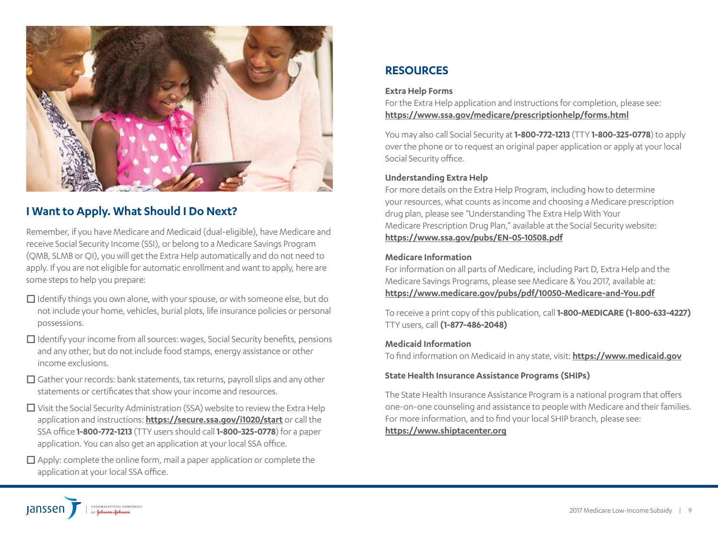

### **I Want to Apply. What Should I Do Next?**

Remember, if you have Medicare and Medicaid (dual-eligible), have Medicare and receive Social Security Income (SSI), or belong to a Medicare Savings Program (QMB, SLMB or QI), you will get the Extra Help automatically and do not need to apply. If you are not eligible for automatic enrollment and want to apply, here are some steps to help you prepare:

- $\Box$  Identify things you own alone, with your spouse, or with someone else, but do not include your home, vehicles, burial plots, life insurance policies or personal possessions.
- $\Box$  Identify your income from all sources: wages, Social Security benefits, pensions and any other, but do not include food stamps, energy assistance or other income exclusions.
- $\Box$  Gather your records: bank statements, tax returns, payroll slips and any other statements or certificates that show your income and resources.
- $\Box$  Visit the Social Security Administration (SSA) website to review the Extra Help application and instructions: **https://secure.ssa.gov/i1020/start** or call the SSA office **1-800-772-1213** (TTY users should call **1-800-325-0778**) for a paper application. You can also get an application at your local SSA office.
- $\Box$  Apply: complete the online form, mail a paper application or complete the application at your local SSA office.

### **RESOURCES**

#### **Extra Help Forms**

For the Extra Help application and instructions for completion, please see: **https://www.ssa.gov/medicare/prescriptionhelp/forms.html**

You may also call Social Security at **1-800-772-1213** (TTY **1-800-325-0778**) to apply over the phone or to request an original paper application or apply at your local Social Security office.

#### **Understanding Extra Help**

For more details on the Extra Help Program, including how to determine your resources, what counts as income and choosing a Medicare prescription drug plan, please see "Understanding The Extra Help With Your Medicare Prescription Drug Plan," available at the Social Security website: **https://www.ssa.gov/pubs/EN-05-10508.pdf**

#### **Medicare Information**

For information on all parts of Medicare, including Part D, Extra Help and the Medicare Savings Programs, please see Medicare & You 2017, available at: **https://www.medicare.gov/pubs/pdf/10050-Medicare-and-You.pdf**

To receive a print copy of this publication, call **1-800-MEDICARE (1-800-633-4227)** TTY users, call **(1-877-486-2048)**

#### **Medicaid Information**

To find information on Medicaid in any state, visit: **https://www.medicaid.gov**

#### **State Health Insurance Assistance Programs (SHIPs)**

The State Health Insurance Assistance Program is a national program that offers one-on-one counseling and assistance to people with Medicare and their families. For more information, and to find your local SHIP branch, please see: **https://www.shiptacenter.org**